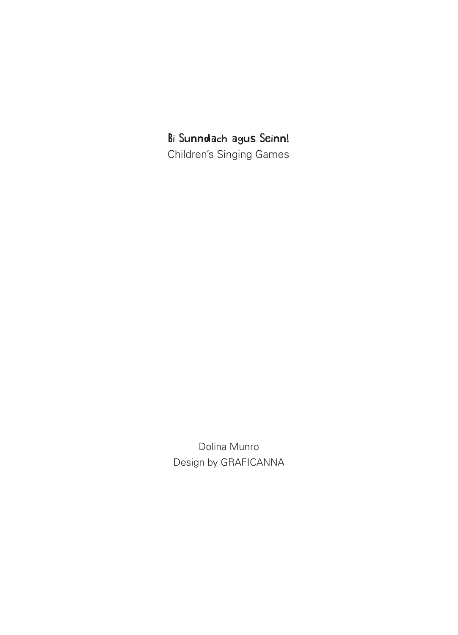Bi Sunndach agus Seinn! Children's Singing Games

Dolina Munro Design by GRAFICANNA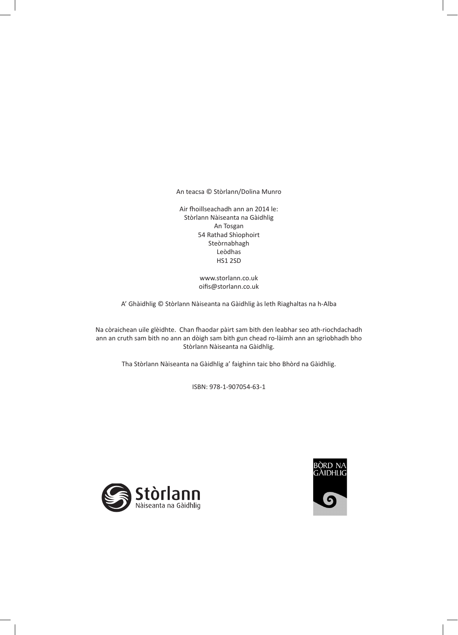An teacsa © Stòrlann/Dolina Munro

Air fhoillseachadh ann an 2014 le: Stòrlann Nàiseanta na Gàidhlig An Tosgan 54 Rathad Shìophoirt Steòrnabhagh Leòdhas HS1 2SD

> www.storlann.co.uk oifis@storlann.co.uk

A' Ghàidhlig © Stòrlann Nàiseanta na Gàidhlig às leth Riaghaltas na h-Alba

Na còraichean uile glèidhte. Chan fhaodar pàirt sam bith den leabhar seo ath-riochdachadh ann an cruth sam bith no ann an dòigh sam bith gun chead ro-làimh ann an sgrìobhadh bho Stòrlann Nàiseanta na Gàidhlig.

Tha Stòrlann Nàiseanta na Gàidhlig a' faighinn taic bho Bhòrd na Gàidhlig.

ISBN: 978-1-907054-63-1



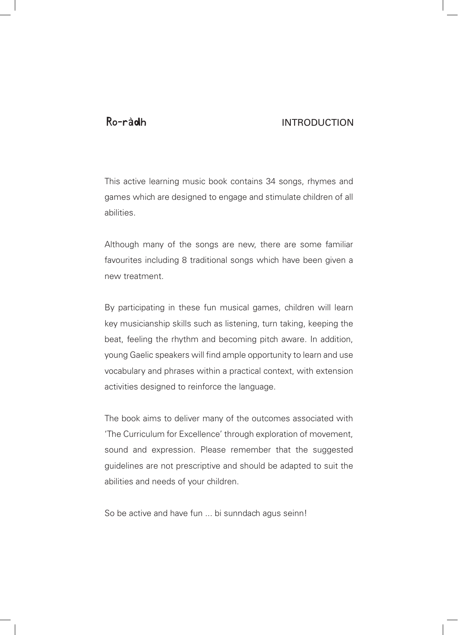## Ro-ràdhINTRODUCTION

This active learning music book contains 34 songs, rhymes and games which are designed to engage and stimulate children of all abilities.

Although many of the songs are new, there are some familiar favourites including 8 traditional songs which have been given a new treatment.

By participating in these fun musical games, children will learn key musicianship skills such as listening, turn taking, keeping the beat, feeling the rhythm and becoming pitch aware. In addition, young Gaelic speakers will find ample opportunity to learn and use vocabulary and phrases within a practical context, with extension activities designed to reinforce the language.

The book aims to deliver many of the outcomes associated with 'The Curriculum for Excellence' through exploration of movement, sound and expression. Please remember that the suggested guidelines are not prescriptive and should be adapted to suit the abilities and needs of your children.

So be active and have fun ... bi sunndach agus seinn!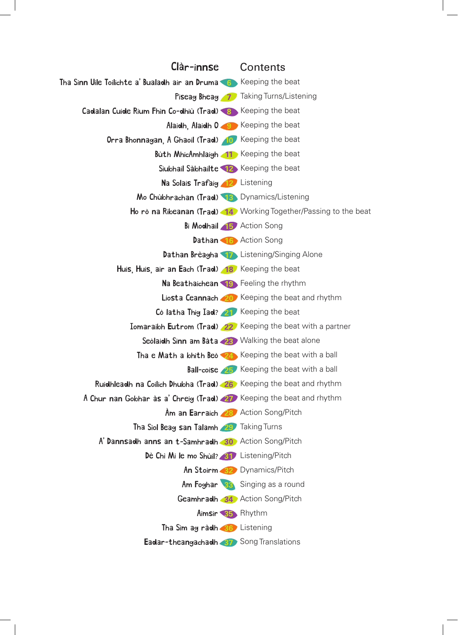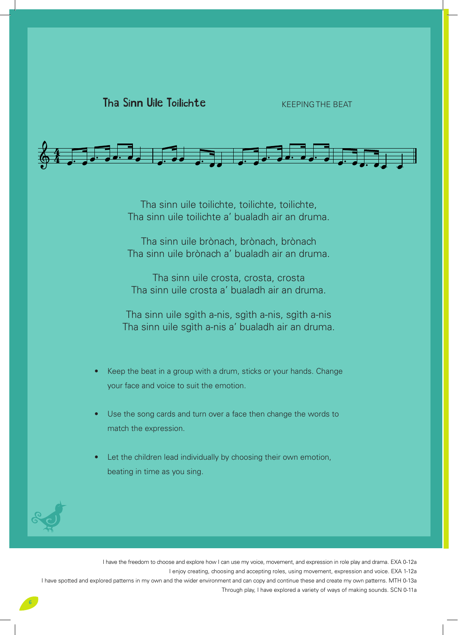

Tha sinn uile toilichte, toilichte, toilichte, Tha sinn uile toilichte a' bualadh air an druma.

Tha sinn uile brònach, brònach, brònach Tha sinn uile brònach a' bualadh air an druma.

Tha sinn uile crosta, crosta, crosta Tha sinn uile crosta a' bualadh air an druma.

Tha sinn uile sgìth a-nis, sgìth a-nis, sgìth a-nis Tha sinn uile sgìth a-nis a' bualadh air an druma.

- Keep the beat in a group with a drum, sticks or your hands. Change your face and voice to suit the emotion.
- Use the song cards and turn over a face then change the words to match the expression.
- Let the children lead individually by choosing their own emotion, beating in time as you sing.

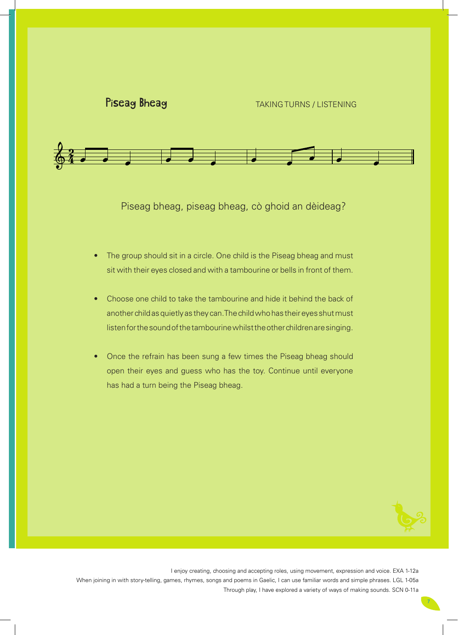

# Piseag Bheag Bheag Bheag<br>Bheag Bheag Bheag Bheag



Piseag bheag, piseag bheag, cò ghoid an dèideag?

- The group should sit in a circle. One child is the Piseag bheag and must sit with their eyes closed and with a tambourine or bells in front of them.
- Choose one child to take the tambourine and hide it behind the back of another child as quietly as they can. The child who has their eyes shut must listen for the sound of the tambourine whilst the other children are singing.
- Once the refrain has been sung a few times the Piseag bheag should open their eyes and guess who has the toy. Continue until everyone has had a turn being the Piseag bheag.

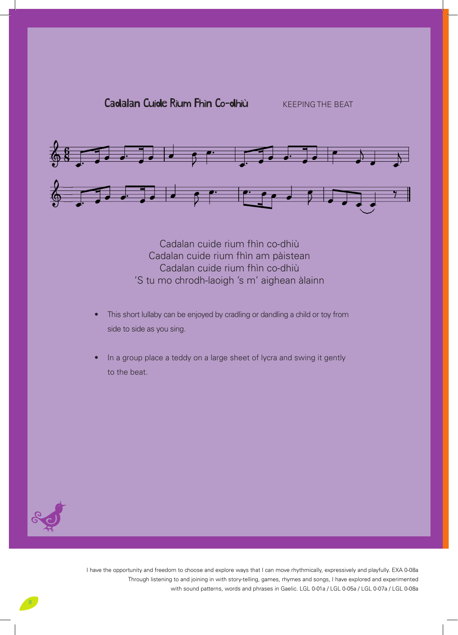

Cadalan cuide rium fhìn co-dhiù Cadalan cuide rium fhìn am pàistean Cadalan cuide rium fhìn co-dhiù 'S tu mo chrodh-laoigh 's m' aighean àlainn

- This short lullaby can be enjoyed by cradling or dandling a child or toy from side to side as you sing.
- In a group place a teddy on a large sheet of lycra and swing it gently to the beat.



 $\sqrt{2}$ 

Voice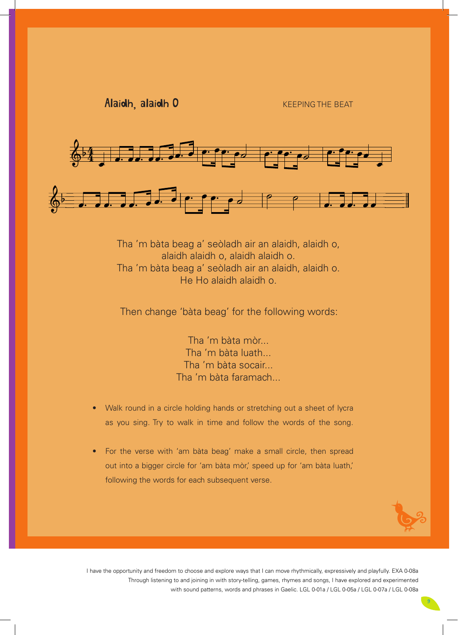Alaidh alaidh o Alaidh, alaidh O KEEPING THE BEAT

Voice



Tha 'm bàta beag a' seòladh air an alaidh, alaidh o, alaidh alaidh o, alaidh alaidh o. Tha 'm bàta beag a' seòladh air an alaidh, alaidh o. He Ho alaidh alaidh o.

Then change 'bàta beag' for the following words:

Tha 'm bàta mòr... Tha 'm bàta luath... Tha 'm bàta socair... Tha 'm bàta faramach...

- Walk round in a circle holding hands or stretching out a sheet of lycra as you sing. Try to walk in time and follow the words of the song.
- For the verse with 'am bàta beag' make a small circle, then spread out into a bigger circle for 'am bàta mòr,' speed up for 'am bàta luath,' following the words for each subsequent verse.

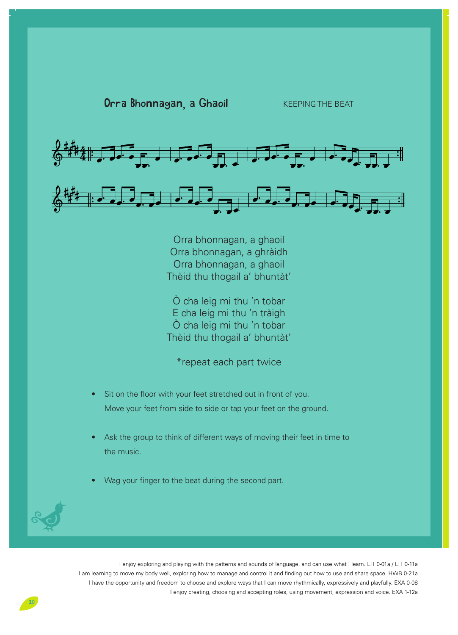



Orra bhonnagan, a ghaoil Orra bhonnagan, a ghràidh Orra bhonnagan, a ghaoil Thèid thu thogail a' bhuntàt'

Ò cha leig mi thu 'n tobar E cha leig mi thu 'n tràigh Ò cha leig mi thu 'n tobar Thèid thu thogail a' bhuntàt'

\*repeat each part twice

- Sit on the floor with your feet stretched out in front of you. Move your feet from side to side or tap your feet on the ground.
- Ask the group to think of different ways of moving their feet in time to the music.
- Wag your finger to the beat during the second part.

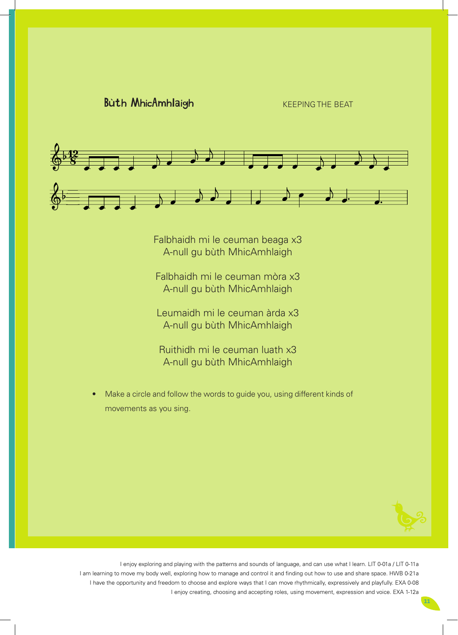

Falbhaidh mi le ceuman beaga x3 A-null gu bùth MhicAmhlaigh

Falbhaidh mi le ceuman mòra x3 A-null gu bùth MhicAmhlaigh

Leumaidh mi le ceuman àrda x3 A-null gu bùth MhicAmhlaigh

Ruithidh mi le ceuman luath x3 A-null gu bùth MhicAmhlaigh

• Make a circle and follow the words to guide you, using different kinds of movements as you sing.

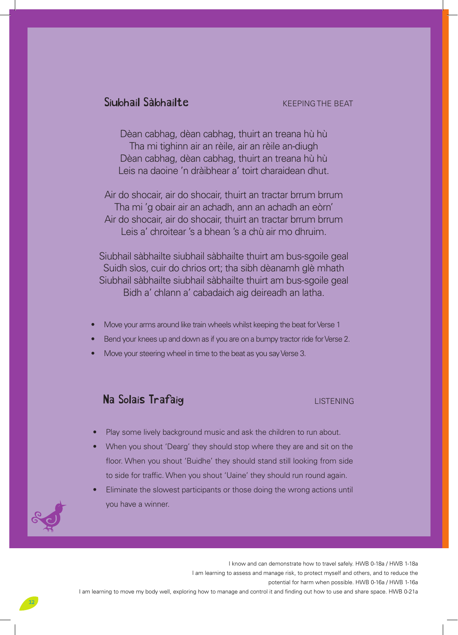# Siubhail Sàbhailte KEEPING THE BEAT

Dèan cabhag, dèan cabhag, thuirt an treana hù hù Tha mi tighinn air an rèile, air an rèile an-diugh Dèan cabhag, dèan cabhag, thuirt an treana hù hù Leis na daoine 'n dràibhear a' toirt charaidean dhut.

Air do shocair, air do shocair, thuirt an tractar brrum brrum Tha mi 'g obair air an achadh, ann an achadh an eòrn' Air do shocair, air do shocair, thuirt an tractar brrum brrum Leis a' chroitear 's a bhean 's a chù air mo dhruim.

Siubhail sàbhailte siubhail sàbhailte thuirt am bus-sgoile geal Suidh sìos, cuir do chrios ort; tha sibh dèanamh glè mhath Siubhail sàbhailte siubhail sàbhailte thuirt am bus-sgoile geal Bidh a' chlann a' cabadaich aig deireadh an latha.

- Move your arms around like train wheels whilst keeping the beat for Verse 1
- Bend your knees up and down as if you are on a bumpy tractor ride for Verse 2.
- Move your steering wheel in time to the beat as you say Verse 3.

# Na Solais Trafaig LISTENING

- Play some lively background music and ask the children to run about.
- When you shout 'Dearg' they should stop where they are and sit on the floor. When you shout 'Buidhe' they should stand still looking from side to side for traffic. When you shout 'Uaine' they should run round again.
- Eliminate the slowest participants or those doing the wrong actions until you have a winner.

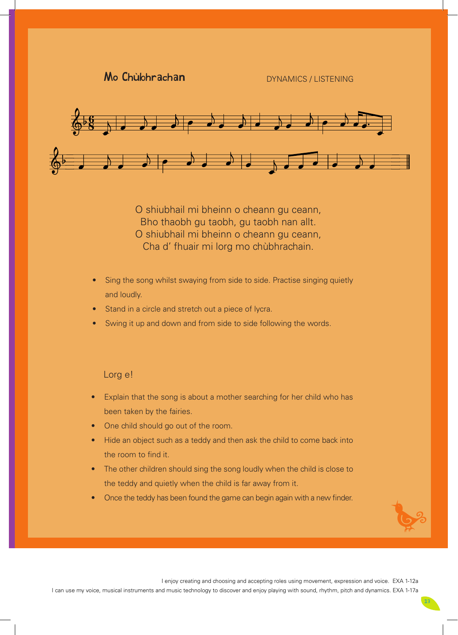Mo Chùbhrachan DYNAMICS / LISTENING

Voice



O shiubhail mi bheinn o cheann gu ceann, Bho thaobh gu taobh, gu taobh nan allt. O shiubhail mi bheinn o cheann gu ceann, Cha d' fhuair mi lorg mo chùbhrachain.

- Sing the song whilst swaying from side to side. Practise singing quietly and loudly.
- Stand in a circle and stretch out a piece of lycra.
- Swing it up and down and from side to side following the words.

Lorg e!

- Explain that the song is about a mother searching for her child who has been taken by the fairies.
- One child should go out of the room.
- Hide an object such as a teddy and then ask the child to come back into the room to find it.
- The other children should sing the song loudly when the child is close to the teddy and quietly when the child is far away from it.
- **Once the teddy has been found the game can begin again with a new finder.**

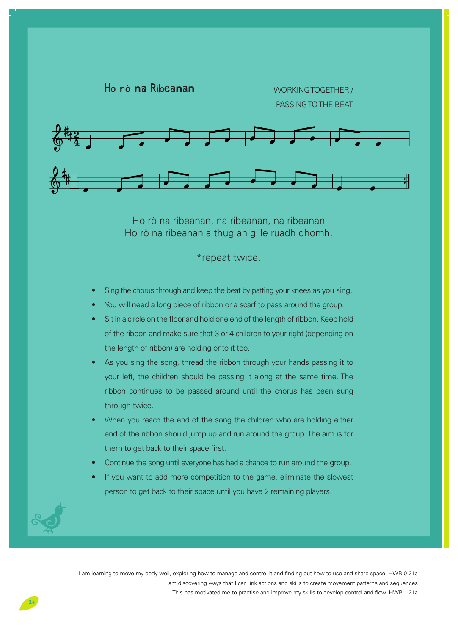

Ho rò na ribeanan, na ribeanan, na ribeanan Ho rò na ribeanan a thug an gille ruadh dhomh.

\*repeat twice.

- Sing the chorus through and keep the beat by patting your knees as you sing.
- You will need a long piece of ribbon or a scarf to pass around the group.
- Sit in a circle on the floor and hold one end of the length of ribbon. Keep hold of the ribbon and make sure that 3 or 4 children to your right (depending on the length of ribbon) are holding onto it too.
- As you sing the song, thread the ribbon through your hands passing it to your left, the children should be passing it along at the same time. The ribbon continues to be passed around until the chorus has been sung through twice.
- When you reach the end of the song the children who are holding either end of the ribbon should jump up and run around the group. The aim is for them to get back to their space first.
- Continue the song until everyone has had a chance to run around the group.
- If you want to add more competition to the game, eliminate the slowest person to get back to their space until you have 2 remaining players.

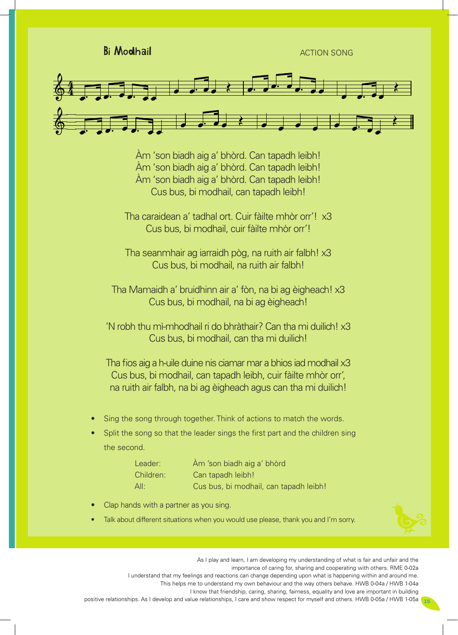Bi Modhail ACTION SONG



Àm 'son biadh aig a' bhòrd. Can tapadh leibh! Àm 'son biadh aig a' bhòrd. Can tapadh leibh! Àm 'son biadh aig a' bhòrd. Can tapadh leibh! Cus bus, bi modhail, can tapadh leibh!

Tha caraidean a' tadhal ort. Cuir fàilte mhòr orr'! x3 Cus bus, bi modhail, cuir fàilte mhòr orr'!

Tha seanmhair ag iarraidh pòg, na ruith air falbh! x3 Cus bus, bi modhail, na ruith air falbh!

Tha Mamaidh a' bruidhinn air a' fòn, na bi ag èigheach! x3 Cus bus, bi modhail, na bi ag èigheach!

'N robh thu mì-mhodhail ri do bhràthair? Can tha mi duilich! x3 Cus bus, bi modhail, can tha mi duilich!

Tha fios aig a h-uile duine nis ciamar mar a bhios iad modhail x3 Cus bus, bi modhail, can tapadh leibh, cuir fàilte mhòr orr', na ruith air falbh, na bi ag èigheach agus can tha mi duilich!

- Sing the song through together. Think of actions to match the words.
- Split the song so that the leader sings the first part and the children sing the second.

| Leader:   | Àm 'son biadh aig a' bhòrd             |
|-----------|----------------------------------------|
| Children: | Can tapadh leibh!                      |
| All:      | Cus bus, bi modhail, can tapadh leibh! |

- **Clap hands with a partner as you sing.**
- Talk about different situations when you would use please, thank you and I'm sorry.

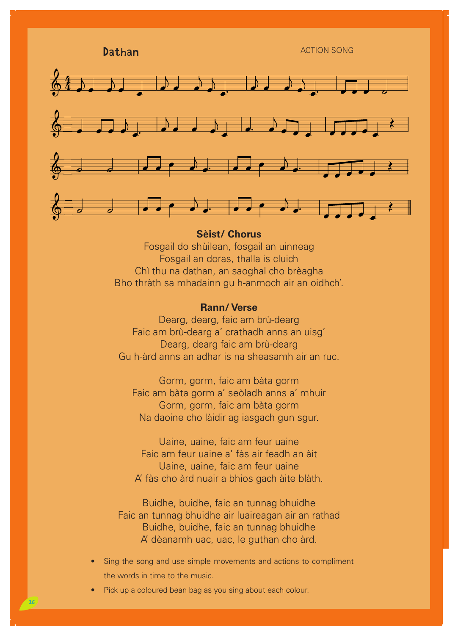Dathan ACTION SONG



## **Sèist/ Chorus**

Fosgail do shùilean, fosgail an uinneag Fosgail an doras, thalla is cluich Chì thu na dathan, an saoghal cho brèagha Bho thràth sa mhadainn gu h-anmoch air an oidhch'.

## **Rann/ Verse**

Dearg, dearg, faic am brù-dearg Faic am brù-dearg a' crathadh anns an uisg' Dearg, dearg faic am brù-dearg Gu h-àrd anns an adhar is na sheasamh air an ruc.

Gorm, gorm, faic am bàta gorm Faic am bàta gorm a' seòladh anns a' mhuir Gorm, gorm, faic am bàta gorm Na daoine cho làidir ag iasgach gun sgur.

Uaine, uaine, faic am feur uaine Faic am feur uaine a' fàs air feadh an àit Uaine, uaine, faic am feur uaine A' fàs cho àrd nuair a bhios gach àite blàth.

Buidhe, buidhe, faic an tunnag bhuidhe Faic an tunnag bhuidhe air luaireagan air an rathad Buidhe, buidhe, faic an tunnag bhuidhe A' dèanamh uac, uac, le guthan cho àrd.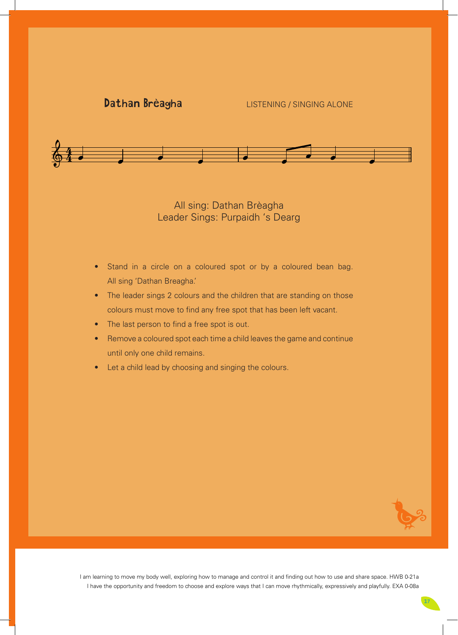# Dathan breagha Dathan Brèagha LISTENING / SINGING ALONE



All sing: Dathan Brèagha Leader Sings: Purpaidh 's Dearg

- Stand in a circle on a coloured spot or by a coloured bean bag. All sing 'Dathan Breagha.'
- The leader sings 2 colours and the children that are standing on those colours must move to find any free spot that has been left vacant.
- The last person to find a free spot is out.
- Remove a coloured spot each time a child leaves the game and continue until only one child remains.
- Let a child lead by choosing and singing the colours.

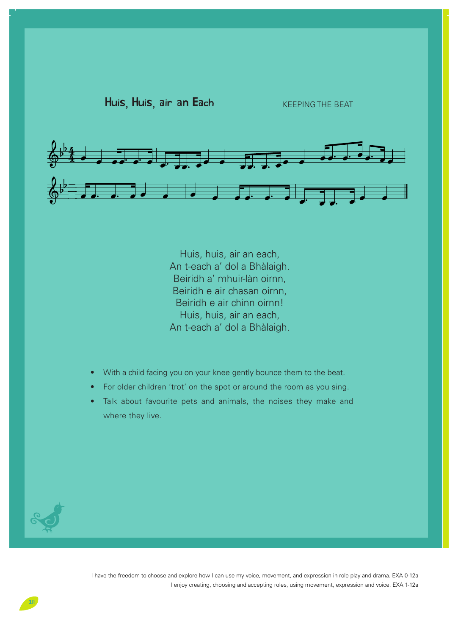

Huis, huis, air an each, An t-each a' dol a Bhàlaigh. Beiridh a' mhuir-làn oirnn, Beiridh e air chasan oirnn, Beiridh e air chinn oirnn! Huis, huis, air an each, An t-each a' dol a Bhàlaigh.

- With a child facing you on your knee gently bounce them to the beat.
- For older children 'trot' on the spot or around the room as you sing.
- Talk about favourite pets and animals, the noises they make and where they live.

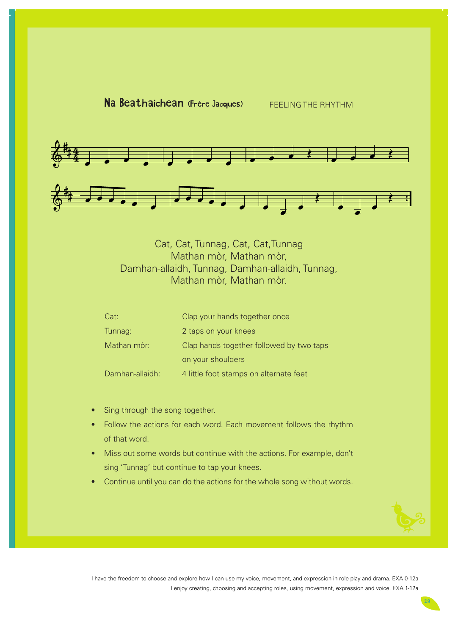

 $\mathsf{C}$ 



Cat, Cat, Tunnag, Cat, Cat,Tunnag Mathan mòr, Mathan mòr, Damhan-allaidh, Tunnag, Damhan-allaidh, Tunnag, Mathan mòr, Mathan mòr.

| Cat:            | Clap your hands together once            |
|-----------------|------------------------------------------|
| Tunnag:         | 2 taps on your knees                     |
| Mathan mòr:     | Clap hands together followed by two taps |
|                 | on your shoulders                        |
| Damhan-allaidh: | 4 little foot stamps on alternate feet   |

- Sing through the song together.
- Follow the actions for each word. Each movement follows the rhythm of that word.
- Miss out some words but continue with the actions. For example, don't sing 'Tunnag' but continue to tap your knees.
- Continue until you can do the actions for the whole song without words.

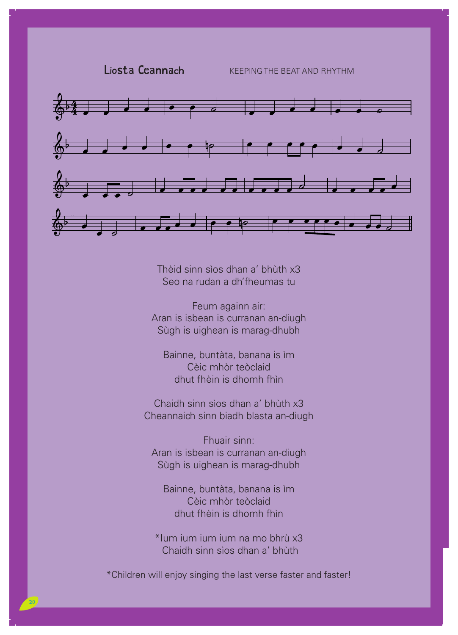## Liosta Ceannach **KEEPING THE BEAT AND RHYTHM**



Thèid sinn sìos dhan a' bhùth x3 Seo na rudan a dh'fheumas tu

Feum againn air: Aran is isbean is curranan an-diugh Sùgh is uighean is marag-dhubh

Bainne, buntàta, banana is ìm Cèic mhòr teòclaid dhut fhèin is dhomh fhìn

Chaidh sinn sìos dhan a' bhùth x3 Cheannaich sinn biadh blasta an-diugh

Fhuair sinn: Aran is isbean is curranan an-diugh Sùgh is uighean is marag-dhubh

Bainne, buntàta, banana is ìm Cèic mhòr teòclaid dhut fhèin is dhomh fhìn

\*Ium ium ium ium na mo bhrù x3 Chaidh sinn sìos dhan a' bhun a' bhùtha ann an t-aistean an t-aistean an t-aistean an t-aistean an t-aistean an t-aistean an t-aistean an t-aistean an t-aistean an t-aistean an t-aistean an t-aistean an t-aistean an t-aist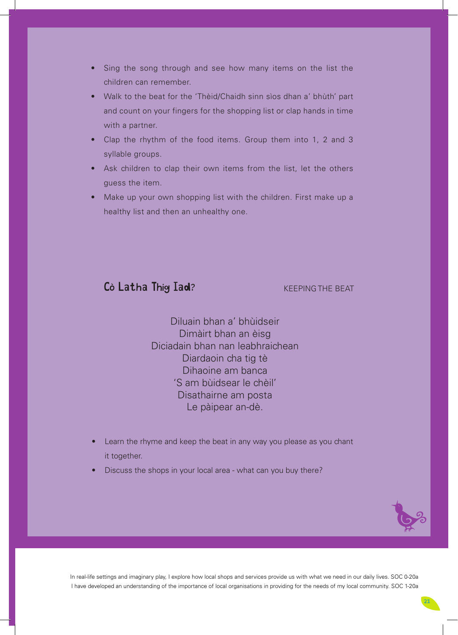- Sing the song through and see how many items on the list the children can remember.
- Walk to the beat for the 'Thèid/Chaidh sinn sìos dhan a' bhùth' part and count on your fingers for the shopping list or clap hands in time with a partner.
- Clap the rhythm of the food items. Group them into 1, 2 and 3 syllable groups.
- Ask children to clap their own items from the list, let the others guess the item.
- Make up your own shopping list with the children. First make up a healthy list and then an unhealthy one.

## Cò Latha Thig Iad?

KEEPING THE BEAT

Diluain bhan a' bhùidseir Dimàirt bhan an èisg Diciadain bhan nan leabhraichean Diardaoin cha tig tè Dihaoine am banca 'S am bùidsear le chèil' Disathairne am posta Le pàipear an-dè.

- Learn the rhyme and keep the beat in any way you please as you chant it together.
- Discuss the shops in your local area what can you buy there?

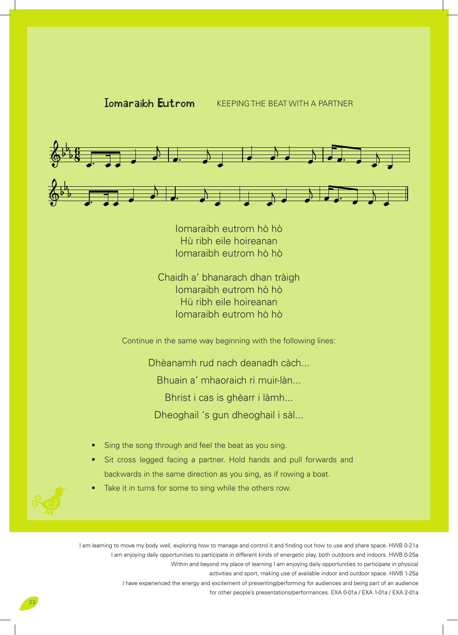# **Iomaraibh Eutrom** KEEPING THE BEAT WITH A PARTNER



Iomaraibh eutrom hò hò Hù ribh eile hoireanan Iomaraibh eutrom hò hò

Chaidh a' bhanarach dhan tràigh Iomaraibh eutrom hò hò Hù ribh eile hoireanan Iomaraibh eutrom hò hò

Continue in the same way beginning with the following lines:

Dhèanamh rud nach deanadh càch... Bhuain a' mhaoraich ri muir-làn... Bhrist i cas is ghèarr i làmh... Dheoghail 's gun dheoghail i sàl...

- Sing the song through and feel the beat as you sing.
- Sit cross legged facing a partner. Hold hands and pull forwards and backwards in the same direction as you sing, as if rowing a boat.
- Take it in turns for some to sing while the others row.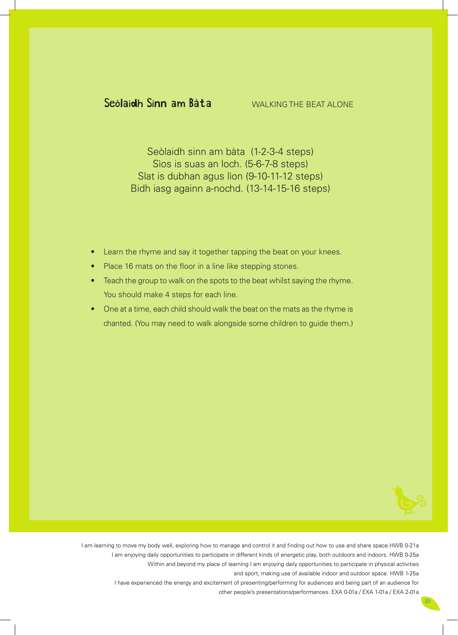# Seòlaidh Sinn am Bàta

Seòlaidh sinn am bàta (1-2-3-4 steps) Sìos is suas an loch. (5-6-7-8 steps) Slat is dubhan agus lìon (9-10-11-12 steps) Bidh iasg againn a-nochd. (13-14-15-16 steps)

- Learn the rhyme and say it together tapping the beat on your knees.
- Place 16 mats on the floor in a line like stepping stones.
- Teach the group to walk on the spots to the beat whilst saying the rhyme. You should make 4 steps for each line.
- One at a time, each child should walk the beat on the mats as the rhyme is chanted. (You may need to walk alongside some children to guide them.)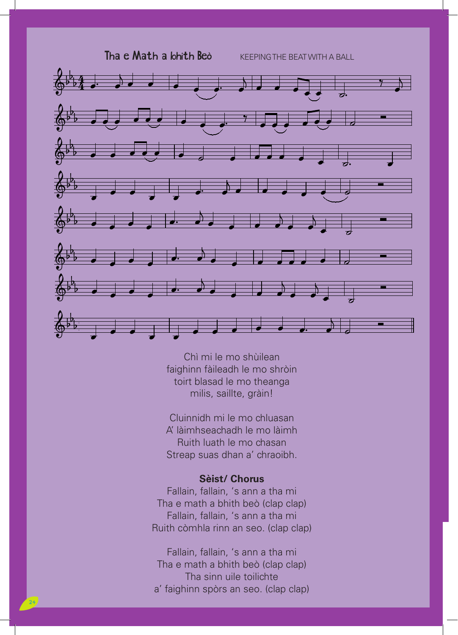Tha e Math a bhith Beò **KEEPINGTHE BEAT WITH A BALL** 



Chì mi le mo shùilean faighinn fàileadh le mo shròin toirt blasad le mo theanga milis, saillte, gràin!

Cluinnidh mi le mo chluasan A' làimhseachadh le mo làimh Ruith luath le mo chasan Streap suas dhan a' chraoibh.

## **Sèist/ Chorus**

Fallain, fallain, 's ann a tha mi Tha e math a bhith beò (clap clap) Fallain, fallain, 's ann a tha mi Ruith còmhla rinn an seo. (clap clap)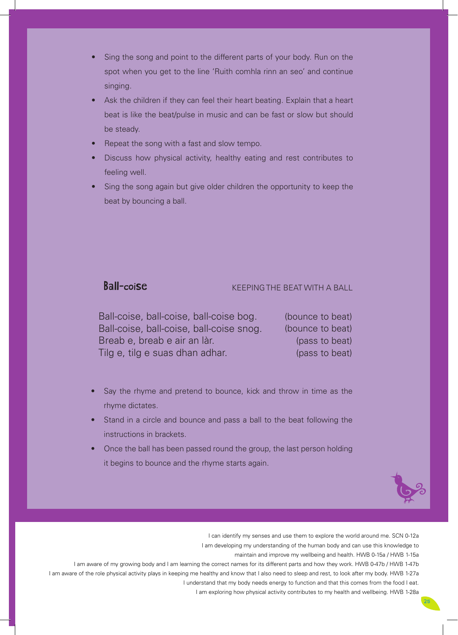- Sing the song and point to the different parts of your body. Run on the spot when you get to the line 'Ruith comhla rinn an seo' and continue singing.
- Ask the children if they can feel their heart beating. Explain that a heart beat is like the beat/pulse in music and can be fast or slow but should be steady.
- Repeat the song with a fast and slow tempo.
- Discuss how physical activity, healthy eating and rest contributes to feeling well.
- Sing the song again but give older children the opportunity to keep the beat by bouncing a ball.

## Ball-coise

## KEEPING THE BEAT WITH A BALL

 (bounce to beat) Ball-coise, ball-coise, ball-coise snog. (bounce to beat) (pass to beat) (pass to beat) Ball-coise, ball-coise, ball-coise bog. Breab e, breab e air an làr. Tilg e, tilg e suas dhan adhar.

- Say the rhyme and pretend to bounce, kick and throw in time as the rhyme dictates.
- Stand in a circle and bounce and pass a ball to the beat following the instructions in brackets.
- Once the ball has been passed round the group, the last person holding it begins to bounce and the rhyme starts again.



I can identify my senses and use them to explore the world around me. SCN 0-12a I am developing my understanding of the human body and can use this knowledge to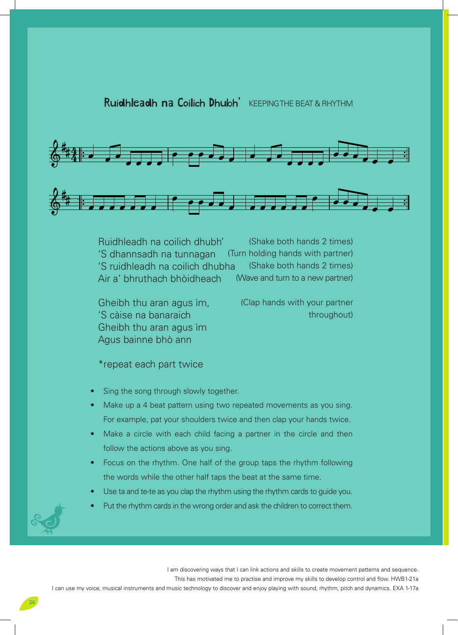

(Shake both hands 2 times) (Turn holding hands with partner) (Shake both hands 2 times) (Wave and turn to a new partner) Ruidhleadh na coilich dhubh' 'S dhannsadh na tunnagan 'S ruidhleadh na coilich dhubha Air a' bhruthach bhòidheach

Gheibh thu aran agus ìm, 'S càise na banaraich Gheibh thu aran agus ìm Agus bainne bhò ann

(Clap hands with your partner throughout)

\*repeat each part twice

- Sing the song through slowly together.
- Make up a 4 beat pattern using two repeated movements as you sing. For example, pat your shoulders twice and then clap your hands twice.
- Make a circle with each child facing a partner in the circle and then follow the actions above as you sing.
- Focus on the rhythm. One half of the group taps the rhythm following the words while the other half taps the beat at the same time.
- Use ta and te-te as you clap the rhythm using the rhythm cards to guide you.
- Put the rhythm cards in the wrong order and ask the children to correct them.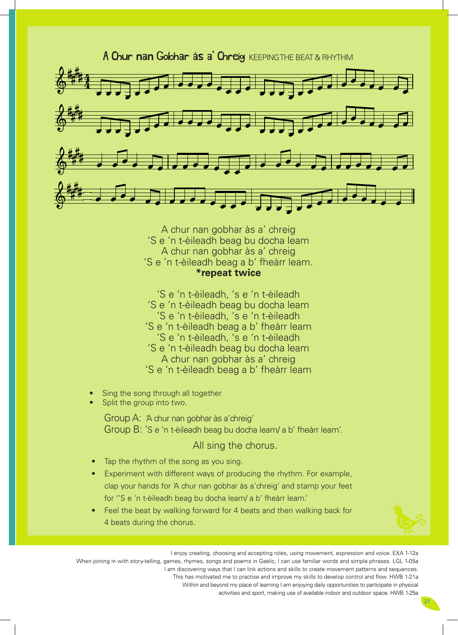

A chur nan gobhar às a' chreig 'S e 'n t-èileadh beag bu docha leam A chur nan gobhar às a' chreig 'S e 'n t-èileadh beag a b' fheàrr leam. **\*repeat twice**

'S e 'n t-èileadh, 's e 'n t-èileadh 'S e 'n t-èileadh beag bu docha leam 'S e 'n t-èileadh, 's e 'n t-èileadh 'S e 'n t-èileadh beag a b' fheàrr leam 'S e 'n t-èileadh, 's e 'n t-èileadh 'S e 'n t-èileadh beag bu docha leam A chur nan gobhar às a' chreig 'S e 'n t-èileadh beag a b' fheàrr leam

- Sing the song through all together
- Split the group into two.

Group A: 'A chur nan gobhar às a'chreig' Group B: 'S e 'n t-èileadh beag bu docha leam/ a b' fheàrr leam'.

All sing the chorus.

- **Tap the rhythm of the song as you sing.**
- Experiment with different ways of producing the rhythm. For example, clap your hands for 'A chur nan gobhar às a'chreig' and stamp your feet for ''S e 'n t-èileadh beag bu docha leam/ a b' fheàrr leam.'
- Feel the beat by walking forward for 4 beats and then walking back for 4 beats during the chorus.

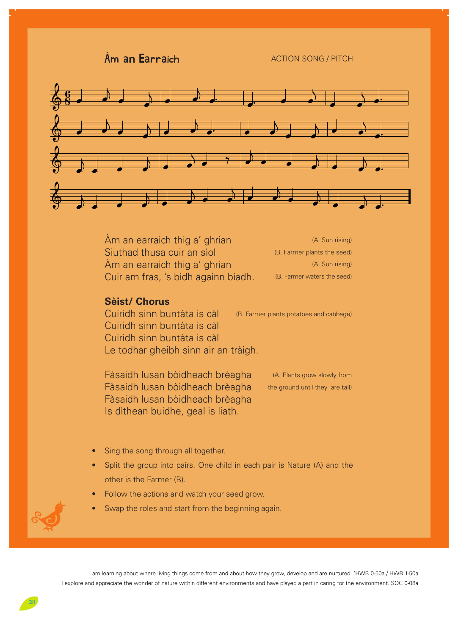$\lambda$ m an Earraich  $\lambda$ CTION SONG / PITCH **n aich** an Earriach ann an Earriach an Earriach an Earriach an Earriach an Earriach an Earriach an Earriach an<br>Tagairtí  $\mathsf{A}$ ich an Earraich an Earraich



Àm an earraich thig a' ghrian Siuthad thusa cuir an sìol Àm an earraich thig a' ghrian Cuir am fras, 's bidh againn biadh.

(A. Sun rising) (B. Farmer plants the seed) (A. Sun rising) (B. Farmer waters the seed)

## **Sèist/ Chorus**

Cuiridh sinn buntàta is càl Cuiridh sinn buntàta is càl Cuiridh sinn buntàta is càl Le todhar gheibh sinn air an tràigh. (B. Farmer plants potatoes and cabbage)

Fàsaidh lusan bòidheach brèagha Fàsaidh lusan bòidheach brèagha Fàsaidh lusan bòidheach brèagha Is dìthean buidhe, geal is liath.

(A. Plants grow slowly from the ground until they are tall)

- Sing the song through all together.
- Split the group into pairs. One child in each pair is Nature (A) and the other is the Farmer (B).
- Follow the actions and watch your seed grow.
- Swap the roles and start from the beginning again.

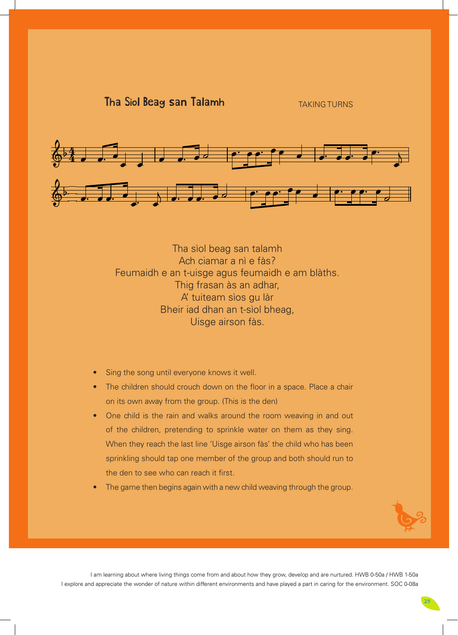

Siol Beag san Talamh

Tha sìol beag san talamh Ach ciamar a nì e fàs? Feumaidh e an t-uisge agus feumaidh e am blàths. Thig frasan às an adhar, A' tuiteam sìos gu làr Bheir iad dhan an t-sìol bheag, Uisge airson fàs.

- Sing the song until everyone knows it well.
- The children should crouch down on the floor in a space. Place a chair on its own away from the group. (This is the den)
- One child is the rain and walks around the room weaving in and out of the children, pretending to sprinkle water on them as they sing. When they reach the last line 'Uisge airson fàs' the child who has been sprinkling should tap one member of the group and both should run to the den to see who can reach it first.
- The game then begins again with a new child weaving through the group.

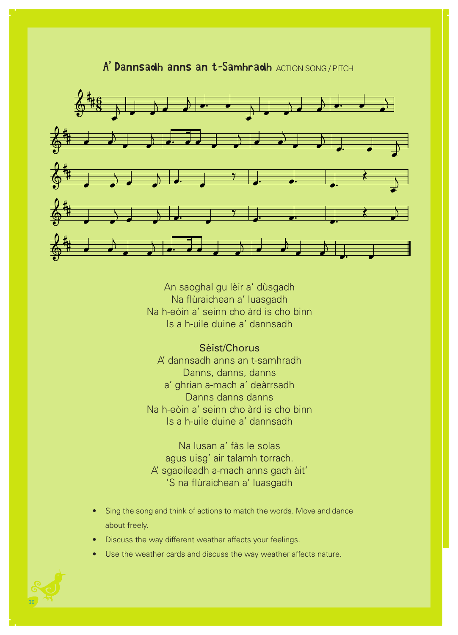

# A' Dannsadh anns an t-Samhradh ACTION SONG / PITCH

An saoghal gu lèir a' dùsgadh Na flùraichean a' luasgadh Na h-eòin a' seinn cho àrd is cho binn Is a h-uile duine a' dannsadh

## Sèist/Chorus

A' dannsadh anns an t-samhradh Danns, danns, danns a' ghrian a-mach a' deàrrsadh Danns danns danns Na h-eòin a' seinn cho àrd is cho binn Is a h-uile duine a' dannsadh

Na lusan a' fàs le solas agus uisg' air talamh torrach. A' sgaoileadh a-mach anns gach àit' 'S na flùraichean a' luasgadh

- Sing the song and think of actions to match the words. Move and dance about freely.
- Discuss the way different weather affects your feelings.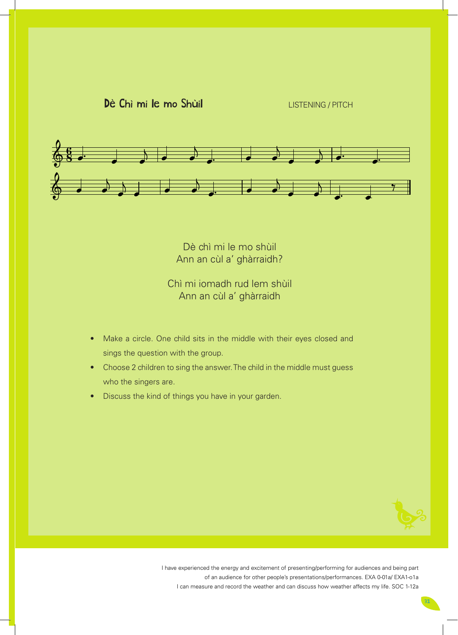LISTENING / PITCH



Dè chì mi le mo shùil Ann an cùl a' ghàrraidh?

Chì mi iomadh rud lem shùil Ann an cùl a' ghàrraidh

- Make a circle. One child sits in the middle with their eyes closed and sings the question with the group.
- Choose 2 children to sing the answer. The child in the middle must guess who the singers are.
- Discuss the kind of things you have in your garden.

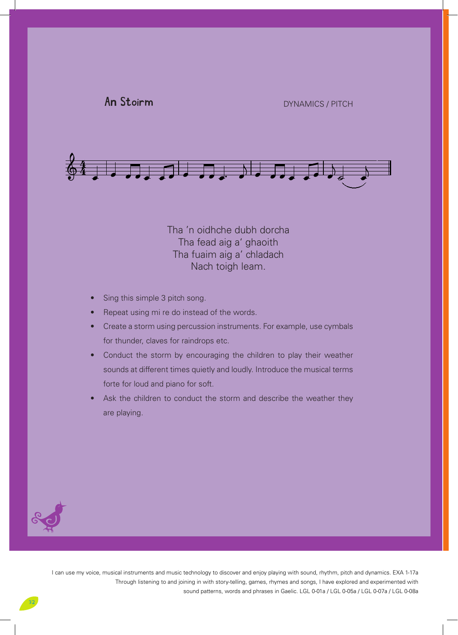



Tha 'n oidhche dubh dorcha Tha fead aig a' ghaoith Tha fuaim aig a' chladach Nach toigh leam.

- Sing this simple 3 pitch song.
- Repeat using mi re do instead of the words.
- Create a storm using percussion instruments. For example, use cymbals for thunder, claves for raindrops etc.
- Conduct the storm by encouraging the children to play their weather sounds at different times quietly and loudly. Introduce the musical terms forte for loud and piano for soft.
- Ask the children to conduct the storm and describe the weather they are playing.

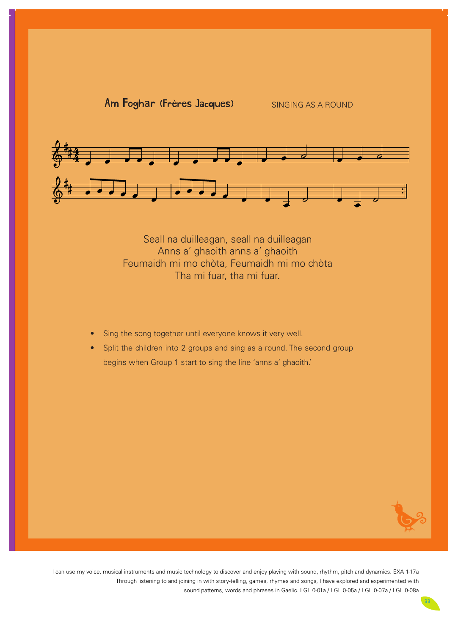

 $F_{\alpha\beta}$  (Frènes Jacques)  $F_{\alpha\beta}$ 

Seall na duilleagan, seall na duilleagan Anns a' ghaoith anns a' ghaoith Feumaidh mi mo chòta, Feumaidh mi mo chòta Tha mi fuar, tha mi fuar.

- Sing the song together until everyone knows it very well.
- Split the children into 2 groups and sing as a round. The second group begins when Group 1 start to sing the line 'anns a' ghaoith.'

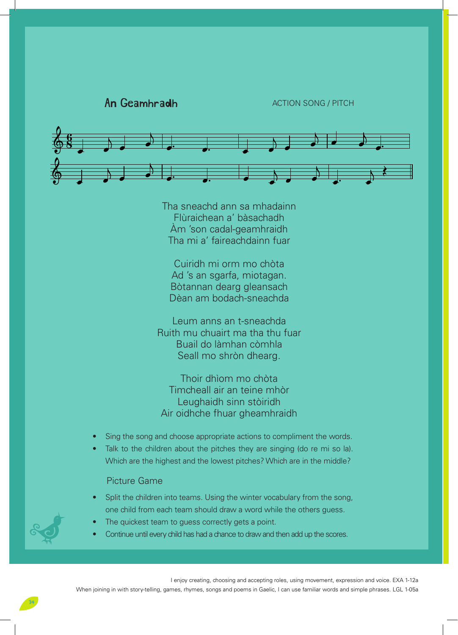

Tha sneachd ann sa mhadainn Flùraichean a' bàsachadh Àm 'son cadal-geamhraidh Tha mi a' faireachdainn fuar

Cuiridh mi orm mo chòta Ad 's an sgarfa, miotagan. Bòtannan dearg gleansach Dèan am bodach-sneachda

Leum anns an t-sneachda Ruith mu chuairt ma tha thu fuar Buail do làmhan còmhla Seall mo shròn dhearg.

Thoir dhìom mo chòta Timcheall air an teine mhòr Leughaidh sinn stòiridh Air oidhche fhuar gheamhraidh

- Sing the song and choose appropriate actions to compliment the words.
- Talk to the children about the pitches they are singing (do re mi so la). Which are the highest and the lowest pitches? Which are in the middle?

## Picture Game

- Split the children into teams. Using the winter vocabulary from the song, one child from each team should draw a word while the others guess.
- The quickest team to guess correctly gets a point.
- Continue until every child has had a chance to draw and then add up the scores.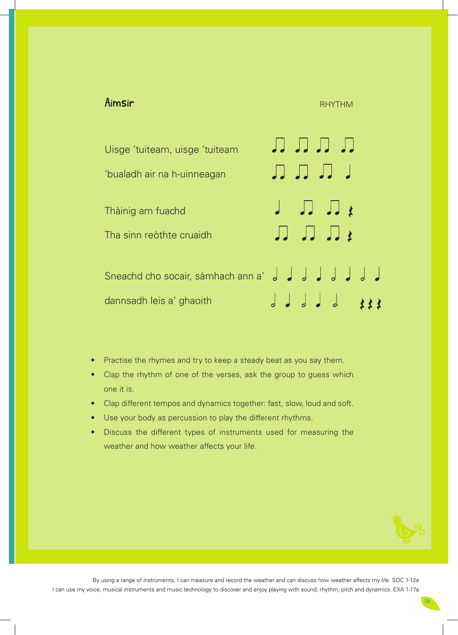## Aimsi<del>r Rhythmar Rhythmar Rhythmar Rhythmar Rhythmar Rhythmar Rhythmar Rhythmar Rhythmar Rhythmar Rhythmar Rhy</del>

лллл Uisge 'tuiteam, uisge 'tuiteam \_ \_ \_ \_ \_ \_ \_ 'bualadh air na h-uinneagan  $JJJZ$ Thàinig am fuachd  $\mathbf{R}$ Tha sinn reòthte cruaidh Sneachd cho socair, sàmhach ann a'  $J J J J J . 322$ dannsadh leis a' ghaoith

- Practise the rhymes and try to keep a steady beat as you say them.
- Clap the rhythm of one of the verses, ask the group to guess which one it is.
- Clap different tempos and dynamics together: fast, slow, loud and soft.
- Use your body as percussion to play the different rhythms.
- Discuss the different types of instruments used for measuring the weather and how weather affects your life.

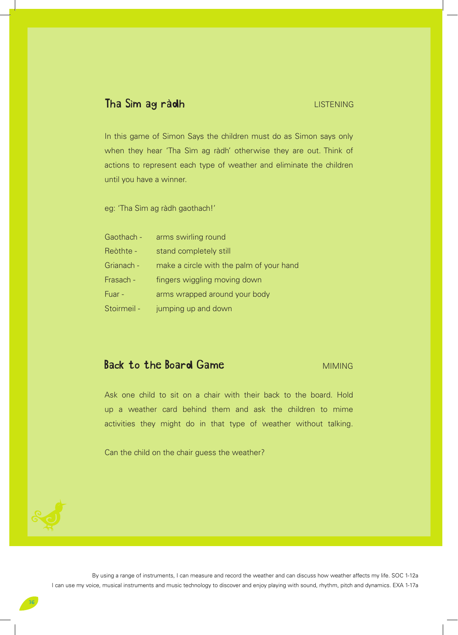## Tha Sìm ag ràdh

## **LISTENING**

In this game of Simon Says the children must do as Simon says only when they hear 'Tha Sìm ag ràdh' otherwise they are out. Think of actions to represent each type of weather and eliminate the children until you have a winner.

eg: 'Tha Sìm ag ràdh gaothach!'

| Gaothach -  | arms swirling round                      |
|-------------|------------------------------------------|
| Reòthte -   | stand completely still                   |
| Grianach -  | make a circle with the palm of your hand |
| Frasach -   | fingers wiggling moving down             |
| Fuar -      | arms wrapped around your body            |
| Stoirmeil - | jumping up and down                      |

## Back to the Board Game

## MIMING

Ask one child to sit on a chair with their back to the board. Hold up a weather card behind them and ask the children to mime activities they might do in that type of weather without talking.

Can the child on the chair guess the weather?

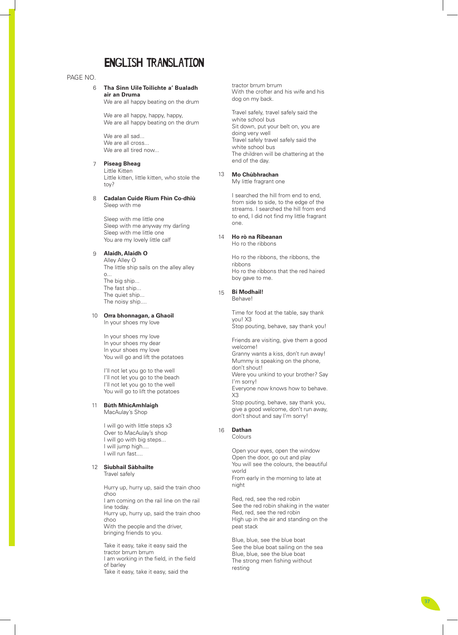# ENGLISH TRANSLATION

#### PAGE NO.

#### **Tha Sinn Uile Toilichte a' Bualadh air an Druma**

We are all happy beating on the drum

We are all happy, happy, happy, We are all happy beating on the drum

We are all sad... We are all cross... We are all tired now...

#### $\overline{7}$ **Piseag Bheag**

Little Kitten Little kitten, little kitten, who stole the toy?

# 6<br>7<br>9<br>9  $\mathsf{R}$ **Cadalan Cuide Rium Fhìn Co-dhiù**  Sleep with me

Sleep with me little one Sleep with me anyway my darling Sleep with me little one You are my lovely little calf

#### **Alaidh, Alaidh O**

Alley Alley O The little ship sails on the alley alley o... The big ship... The fast ship... The quiet ship... The noisy ship....

#### **Orra bhonnagan, a Ghaoil** 10

In your shoes my love

In your shoes my love In your shoes my dear In your shoes my love You will go and lift the potatoes

I'll not let you go to the well I'll not let you go to the beach I'll not let you go to the well You will go to lift the potatoes

#### **Bùth MhicAmhlaigh** MacAulay's Shop 11

I will go with little steps x3 Over to MacAulay's shop I will go with big steps... I will jump high.... I will run fast....

#### **Siubhail Sàbhailte** 12

Travel safely

Hurry up, hurry up, said the train choo choo I am coming on the rail line on the rail line today. Hurry up, hurry up, said the train choo choo With the people and the driver, bringing friends to you.

Take it easy, take it easy said the

tractor brrum brrum With the crofter and his wife and his dog on my back.

Travel safely, travel safely said the white school bus Sit down, put your belt on, you are doing very well Travel safely travel safely said the white school bus The children will be chattering at the end of the day.

#### **Mo Chùbhrachan** 13

My little fragrant one

I searched the hill from end to end, from side to side, to the edge of the streams. I searched the hill from end to end, I did not find my little fragrant one.

#### **Ho rò na Ribeanan** 14

Ho ro the ribbons

Ho ro the ribbons, the ribbons, the ribbons Ho ro the ribbons that the red haired boy gave to me.

#### **Bi Modhail!**

Behave!

15

Time for food at the table, say thank you! X3 Stop pouting, behave, say thank you!

Friends are visiting, give them a good welcome! Granny wants a kiss, don't run away! Mummy is speaking on the phone, don't shout! Were you unkind to your brother? Say I'm sorry! Everyone now knows how to behave. X3 Stop pouting, behave, say thank you, give a good welcome, don't run away, don't shout and say I'm sorry!

#### **Dathan** 16

Colours

Open your eyes, open the window Open the door, go out and play You will see the colours, the beautiful world From early in the morning to late at night

Red, red, see the red robin See the red robin shaking in the water Red, red, see the red robin High up in the air and standing on the peat stack

Blue, blue, see the blue boat See the blue boat sailing on the sea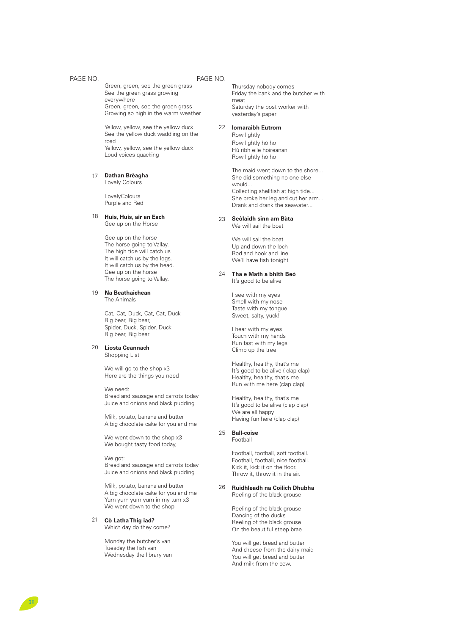#### PAGE NO. PAGE NO.

Green, green, see the green grass See the green grass growing everywhere Green, green, see the green grass Growing so high in the warm weather

Yellow, yellow, see the yellow duck See the yellow duck waddling on the road Yellow, yellow, see the yellow duck Loud voices quacking

#### 17 **Dathan Brèagha**

Lovely Colours

**LovelyColours** Purple and Red

#### 18 **Huis, Huis, air an Each** Gee up on the Horse

Gee up on the horse The horse going to Vallay. The high tide will catch us It will catch us by the legs. It will catch us by the head. Gee up on the horse The horse going to Vallay.

#### 19 **Na Beathaichean**

The Animals

Cat, Cat, Duck, Cat, Cat, Duck Big bear, Big bear, Spider, Duck, Spider, Duck Big bear, Big bear

#### 20 **Liosta Ceannach** Shopping List

We will go to the shop x3 Here are the things you need

We need: Bread and sausage and carrots today Juice and onions and black pudding

Milk, potato, banana and butter A big chocolate cake for you and me

We went down to the shop x3 We bought tasty food today,

We got: Bread and sausage and carrots today Juice and onions and black pudding

Milk, potato, banana and butter A big chocolate cake for you and me Yum yum yum yum in my tum x3 We went down to the shop

#### 21 **Cò Latha Thig iad?** Which day do they come?

Monday the butcher's van Tuesday the fish van

Thursday nobody comes Friday the bank and the butcher with meat Saturday the post worker with yesterday's paper

#### 22 **Iomaraibh Eutrom**

Row lightly Row lightly hò ho Hù ribh eile hoireanan Row lightly hò ho

The maid went down to the shore... She did something no-one else would... Collecting shellfish at high tide... She broke her leg and cut her arm... Drank and drank the seawater...

#### 23 **Seòlaidh sinn am Bàta**

We will sail the boat

We will sail the boat Up and down the loch Rod and hook and line We'll have fish tonight

## 24 **Tha e Math a bhith Beò**

It's good to be alive

I see with my eyes Smell with my nose Taste with my tongue Sweet, salty, yuck!

I hear with my eyes Touch with my hands Run fast with my legs Climb up the tree

Healthy, healthy, that's me It's good to be alive ( clap clap) Healthy, healthy, that's me Run with me here (clap clap)

Healthy, healthy, that's me It's good to be alive (clap clap) We are all happy Having fun here (clap clap)

#### 25 **Ball-coise**

Football

Football, football, soft football. Football, football, nice football. Kick it, kick it on the floor. Throw it, throw it in the air.

#### 26 **Ruidhleadh na Coilich Dhubha** Reeling of the black grouse

Reeling of the black grouse Dancing of the ducks Reeling of the black grouse On the beautiful steep brae

You will get bread and butter And cheese from the dairy maid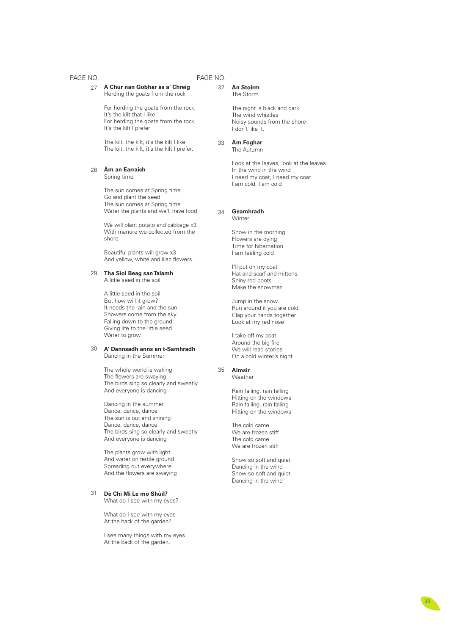## PAGE NO.

| VO.<br>27 | A Chur nan Gobhar às a' Chreig<br>Herding the goats from the rock                                                                                                                                 | PAGE NO.<br>32 |
|-----------|---------------------------------------------------------------------------------------------------------------------------------------------------------------------------------------------------|----------------|
|           | For herding the goats from the rock,<br>It's the kilt that I like.<br>For herding the goats from the rock<br>It's the kilt I prefer                                                               |                |
|           | The kilt, the kilt, it's the kilt I like<br>The kilt, the kilt, it's the kilt I prefer.                                                                                                           | 33             |
| 28        | Am an Earraich<br>Spring time                                                                                                                                                                     |                |
|           | The sun comes at Spring time<br>Go and plant the seed<br>The sun comes at Spring time<br>Water the plants and we'll have food.                                                                    | 34             |
|           | We will plant potato and cabbage x3<br>With manure we collected from the<br>shore                                                                                                                 |                |
|           | Beautiful plants will grow x3<br>And yellow, white and lilac flowers.                                                                                                                             |                |
| 29        | Tha Sìol Beag san Talamh<br>A little seed in the soil                                                                                                                                             |                |
|           | A little seed in the soil<br>But how will it grow?<br>It needs the rain and the sun<br>Showers come from the sky<br>Falling down to the ground<br>Giving life to the little seed<br>Water to grow |                |
| 30        | A' Dannsadh anns an t-Samhradh<br>Dancing in the Summer                                                                                                                                           |                |
|           | The whole world is waking<br>The flowers are swaying<br>The birds sing so clearly and sweetly<br>And everyone is dancing                                                                          | 35             |
|           | Dancing in the summer<br>Dance, dance, dance<br>The sun is out and shining<br>Dance, dance, dance<br>The birds sing so clearly and sweetly<br>And everyone is dancing                             |                |

The plants grow with light And water on fertile ground Spreading out everywhere And the flowers are swaying

#### **Dè Chì Mi Le mo Shùil?** 31

What do I see with my eyes?

What do I see with my eyes At the back of the garden?

I see many things with my eyes At the back of the garden.

## **An Stoirm**

The Storm

The night is black and dark The wind whistles Noisy sounds from the shore I don't like it,

## **Am Foghar**

The Autumn

Look at the leaves, look at the leaves In the wind in the wind I need my coat, I need my coat I am cold, I am cold

## **Geamhradh**

**Winter** 

Snow in the morning Flowers are dying Time for hibernation I am feeling cold

I'll put on my coat Hat and scarf and mittens. Shiny red boots Make the snowman

Jump in the snow Run around if you are cold Clap your hands together Look at my red nose

I take off my coat Around the big fire We will read stories On a cold winter's night

#### **Aimsir** Weather

Rain falling, rain falling Hitting on the windows Rain falling, rain falling Hitting on the windows

The cold came We are frozen stiff The cold came We are frozen stiff

Snow so soft and quiet Dancing in the wind Snow so soft and quiet Dancing in the wind